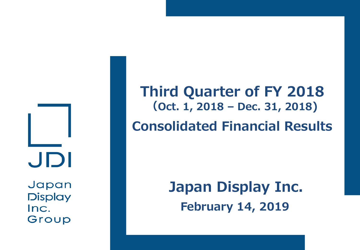JDI

Japan **Display** Inc. Group

**Third Quarter of FY 2018 (Oct. 1, 2018 – Dec. 31, 2018) Consolidated Financial Results**

> **Japan Display Inc. February 14, 2019**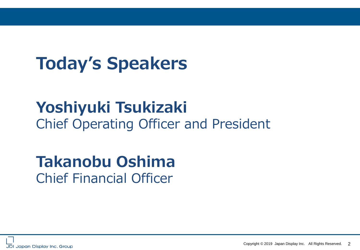# **Today's Speakers**

## **Yoshiyuki Tsukizaki**  Chief Operating Officer and President

# **Takanobu Oshima** Chief Financial Officer



Copyright © 2019 Japan Display Inc. All Rights Reserved. 2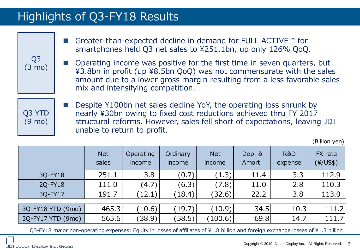## Highlights of Q3-FY18 Results

| ■ Greater-than-expected decline in demand for FULL ACTIVE™ for |
|----------------------------------------------------------------|
| smartphones held Q3 net sales to ¥251.1bn, up only 126% QoQ.   |

 Operating income was positive for the first time in seven quarters, but ¥3.8bn in profit (up ¥8.5bn QoQ) was not commensurate with the sales amount due to a lower gross margin resulting from a less favorable sales mix and intensifying competition.

 Despite ¥100bn net sales decline YoY, the operating loss shrunk by nearly ¥30bn owing to fixed cost reductions achieved thru FY 2017 structural reforms. However, sales fell short of expectations, leaving JDI unable to return to profit.

|                   |                     |                     |                    |                      |                  |                | $1111011$ $1111$             |
|-------------------|---------------------|---------------------|--------------------|----------------------|------------------|----------------|------------------------------|
|                   | <b>Net</b><br>sales | Operating<br>income | Ordinary<br>income | <b>Net</b><br>income | Dep. &<br>Amort. | R&D<br>expense | FX rate<br>$(\frac{4}{US\$ ) |
| 3Q-FY18           | 251.1               | 3.8                 | (0.7)              | (1.3)                | 11.4             | 3.3            | 112.9                        |
| 2Q-FY18           | 111.0               | (4.7)               | (6.3)              | (7.8)                | 11.0             | 2.8            | 110.3                        |
| 3Q-FY17           | 191.7               | (12.1)              | (18.4)             | (32.6)               | 22.2             | 3.8            | 113.0                        |
|                   |                     |                     |                    |                      |                  |                |                              |
| 3Q-FY18 YTD (9mo) | 465.3               | (10.6)              | (19.7)             | (10.9)               | 34.5             | 10.3           | 111.2                        |
| 3Q-FY17 YTD (9mo) | 565.6               | (38.9)              | (58.5)             | (100.6)              | 69.8             | 14.7           | 111.7                        |

Q3-FY18 major non-operating expenses: Equity in losses of affiliates of ¥1.8 billion and foreign exchange losses of ¥1.3 billion

Q3 (3 mo)

Q3 YTD (9 mo)

(Billion yen)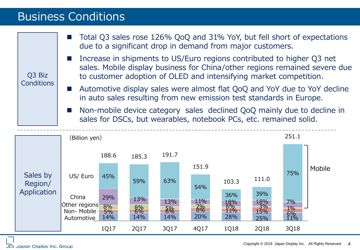### Business Conditions

| Q3 Biz<br><b>Conditions</b> | Total Q3 sales rose 126% QoQ and 31% YoY, but fell short of expectations<br>due to a significant drop in demand from major customers.<br>Increase in shipments to US/Euro regions contributed to higher Q3 net<br>sales. Mobile display business for China/other regions remained severe due<br>to customer adoption of OLED and intensifying market competition.<br>Automotive display sales were almost flat QoQ and YoY due to YoY decline<br>in auto sales resulting from new emission test standards in Europe. |                        |                                                                   |                  |                  |                                |                                |                          |                                                                        |
|-----------------------------|----------------------------------------------------------------------------------------------------------------------------------------------------------------------------------------------------------------------------------------------------------------------------------------------------------------------------------------------------------------------------------------------------------------------------------------------------------------------------------------------------------------------|------------------------|-------------------------------------------------------------------|------------------|------------------|--------------------------------|--------------------------------|--------------------------|------------------------------------------------------------------------|
|                             |                                                                                                                                                                                                                                                                                                                                                                                                                                                                                                                      |                        | sales for DSCs, but wearables, notebook PCs, etc. remained solid. |                  |                  |                                |                                |                          | Non-mobile device category sales declined QoQ mainly due to decline in |
|                             | (Billion yen)                                                                                                                                                                                                                                                                                                                                                                                                                                                                                                        |                        |                                                                   |                  |                  |                                |                                | 251.1                    |                                                                        |
|                             |                                                                                                                                                                                                                                                                                                                                                                                                                                                                                                                      | 188.6                  | 185.3                                                             | 191.7            |                  |                                |                                |                          |                                                                        |
| Sales by<br>Region/         | US/ Euro                                                                                                                                                                                                                                                                                                                                                                                                                                                                                                             | 45%                    | 59%                                                               | 63%              | 151.9<br>54%     | 103.3                          | 111.0                          | 75%                      | Mobile                                                                 |
| Application                 | China<br>Other regions<br>Non-Mobile<br>Automotive                                                                                                                                                                                                                                                                                                                                                                                                                                                                   | 29%<br>8%<br>5%<br>14% | 13%<br>8%<br>14%                                                  | 13%<br>8%<br>14% | 11%<br>3%<br>20% | 36%<br>18%<br>6%<br>11%<br>28% | 39%<br>18%<br>3%<br>15%<br>25% | 7%<br>$1\%$<br>6%<br>11% |                                                                        |
|                             |                                                                                                                                                                                                                                                                                                                                                                                                                                                                                                                      | 1Q17                   | 2Q17                                                              | 3Q17             | 4Q17             | 1Q18                           | 2Q18                           | 3Q18                     |                                                                        |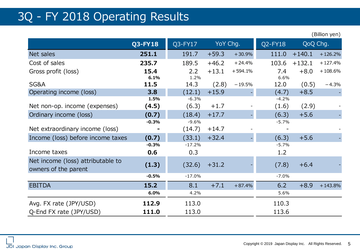### 3Q - FY 2018 Operating Results

(Billion yen)

|                                                           | <b>Q3-FY18</b> | Q3-FY17      | YoY Chg. |           | Q2-FY18      | QoQ Chg. |           |
|-----------------------------------------------------------|----------------|--------------|----------|-----------|--------------|----------|-----------|
| Net sales                                                 | 251.1          | 191.7        | $+59.3$  | $+30.9%$  | 111.0        | $+140.1$ | $+126.2%$ |
| Cost of sales                                             | 235.7          | 189.5        | $+46.2$  | $+24.4%$  | 103.6        | $+132.1$ | $+127.4%$ |
| Gross profit (loss)                                       | 15.4           | 2.2          | $+13.1$  | $+594.1%$ | 7.4          | $+8.0$   | $+108.6%$ |
| <b>SG&amp;A</b>                                           | 6.1%<br>11.5   | 1.2%<br>14.3 | (2.8)    | $-19.5%$  | 6.6%<br>12.0 | (0.5)    | $-4.3%$   |
| Operating income (loss)                                   | 3.8            | (12.1)       | $+15.9$  |           | (4.7)        | $+8.5$   |           |
|                                                           | 1.5%           | $-6.3%$      |          |           | $-4.2%$      |          |           |
| Net non-op. income (expenses)                             | (4.5)          | (6.3)        | $+1.7$   |           | (1.6)        | (2.9)    |           |
| Ordinary income (loss)                                    | (0.7)          | (18.4)       | $+17.7$  |           | (6.3)        | $+5.6$   |           |
|                                                           | $-0.3%$        | $-9.6%$      |          |           | $-5.7%$      |          |           |
| Net extraordinary income (loss)                           |                | (14.7)       | $+14.7$  |           |              |          |           |
| Income (loss) before income taxes                         | (0.7)          | (33.1)       | $+32.4$  |           | (6.3)        | $+5.6$   |           |
|                                                           | $-0.3%$        | $-17.2%$     |          |           | $-5.7%$      |          |           |
| Income taxes                                              | 0.6            | 0.3          |          |           | 1.2          |          |           |
| Net income (loss) attributable to<br>owners of the parent | (1.3)          | (32.6)       | $+31.2$  |           | (7.8)        | $+6.4$   |           |
|                                                           | $-0.5%$        | $-17.0%$     |          |           | $-7.0%$      |          |           |
| <b>EBITDA</b>                                             | 15.2           | 8.1          | $+7.1$   | $+87.4%$  | 6.2          | $+8.9$   | $+143.8%$ |
|                                                           | 6.0%           | 4.2%         |          |           | 5.6%         |          |           |
| Avg. FX rate (JPY/USD)                                    | 112.9          | 113.0        |          |           | 110.3        |          |           |
| Q-End FX rate (JPY/USD)                                   | 111.0          | 113.0        |          |           | 113.6        |          |           |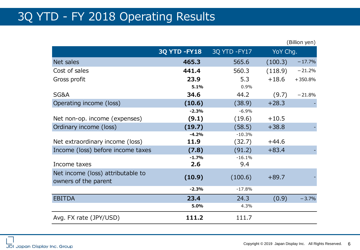### 3Q YTD - FY 2018 Operating Results

|                                   |                     |               |          | (Billion yen) |
|-----------------------------------|---------------------|---------------|----------|---------------|
|                                   | <b>3Q YTD -FY18</b> | 3Q YTD - FY17 | YoY Chg. |               |
| Net sales                         | 465.3               | 565.6         | (100.3)  | $-17.7%$      |
| Cost of sales                     | 441.4               | 560.3         | (118.9)  | $-21.2%$      |
| Gross profit                      | 23.9                | 5.3           | $+18.6$  | $+350.8%$     |
|                                   | 5.1%                | 0.9%          |          |               |
| SG&A                              | 34.6                | 44.2          | (9.7)    | $-21.8%$      |
| Operating income (loss)           | (10.6)              | (38.9)        | $+28.3$  |               |
|                                   | $-2.3%$             | $-6.9%$       |          |               |
| Net non-op. income (expenses)     | (9.1)               | (19.6)        | $+10.5$  |               |
| Ordinary income (loss)            | (19.7)              | (58.5)        | $+38.8$  |               |
|                                   | $-4.2%$             | $-10.3%$      |          |               |
| Net extraordinary income (loss)   | 11.9                | (32.7)        | $+44.6$  |               |
| Income (loss) before income taxes | (7.8)               | (91.2)        | $+83.4$  |               |
|                                   | $-1.7%$             | $-16.1%$      |          |               |
| Income taxes                      | 2.6                 | 9.4           |          |               |
| Net income (loss) attributable to | (10.9)              | (100.6)       | $+89.7$  |               |
| owners of the parent              |                     |               |          |               |
|                                   | $-2.3%$             | $-17.8%$      |          |               |
| <b>EBITDA</b>                     | 23.4                | 24.3          | (0.9)    | $-3.7%$       |
|                                   | 5.0%                | 4.3%          |          |               |
| Avg. FX rate (JPY/USD)            | 111.2               | 111.7         |          |               |

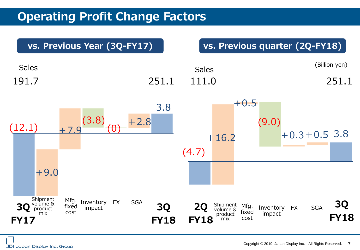### **Operating Profit Change Factors**

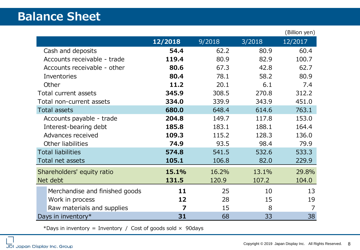### **Balance Sheet**

|                                |         |        |        | (Billion yen) |
|--------------------------------|---------|--------|--------|---------------|
|                                | 12/2018 | 9/2018 | 3/2018 | 12/2017       |
| Cash and deposits              | 54.4    | 62.2   | 80.9   | 60.4          |
| Accounts receivable - trade    | 119.4   | 80.9   | 82.9   | 100.7         |
| Accounts receivable - other    | 80.6    | 67.3   | 42.8   | 62.7          |
| Inventories                    | 80.4    | 78.1   | 58.2   | 80.9          |
| Other                          | 11.2    | 20.1   | 6.1    | 7.4           |
| Total current assets           | 345.9   | 308.5  | 270.8  | 312.2         |
| Total non-current assets       | 334.0   | 339.9  | 343.9  | 451.0         |
| <b>Total assets</b>            | 680.0   | 648.4  | 614.6  | 763.1         |
| Accounts payable - trade       | 204.8   | 149.7  | 117.8  | 153.0         |
| Interest-bearing debt          | 185.8   | 183.1  | 188.1  | 164.4         |
| Advances received              | 109.3   | 115.2  | 128.3  | 136.0         |
| Other liabilities              | 74.9    | 93.5   | 98.4   | 79.9          |
| <b>Total liabilities</b>       | 574.8   | 541.5  | 532.6  | 533.3         |
| Total net assets               | 105.1   | 106.8  | 82.0   | 229.9         |
| Shareholders' equity ratio     | 15.1%   | 16.2%  | 13.1%  | 29.8%         |
| Net debt                       | 131.5   | 120.9  | 107.2  | 104.0         |
| Merchandise and finished goods | 11      | 25     | 10     | 13            |
| Work in process                | 12      | 28     | 15     | 19            |
| Raw materials and supplies     | 7       | 15     | 8      |               |
| Days in inventory*             | 31      | 68     | 33     | 38            |

\*Days in inventory = Inventory / Cost of goods sold  $\times$  90days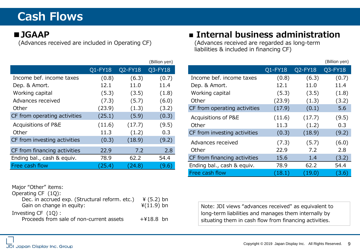## **Cash Flows**

#### **■JGAAP**

(Advances received are included in Operating CF)

|                              |         |         | (Billion yen) |
|------------------------------|---------|---------|---------------|
|                              | Q1-FY18 | Q2-FY18 | Q3-FY18       |
| Income bef. income taxes     | (0.8)   | (6.3)   | (0.7)         |
| Dep. & Amort.                | 12.1    | 11.0    | 11.4          |
| Working capital              | (5.3)   | (3.5)   | (1.8)         |
| Advances received            | (7.3)   | (5.7)   | (6.0)         |
| Other                        | (23.9)  | (1.3)   | (3.2)         |
| CF from operating activities | (25.1)  | (5.9)   | (0.3)         |
| Acquisitions of P&E          | (11.6)  | (17.7)  | (9.5)         |
| Other                        | 11.3    | (1.2)   | 0.3           |
| CF from investing activities | (0.3)   | (18.9)  | (9.2)         |
| CF from financing activities | 22.9    | 7.2     | 2.8           |
| Ending bal., cash & equiv.   | 78.9    | 62.2    | 54.4          |
| Free cash flow               | (25.4)  | (24.8)  | (9.6)         |

#### Major "Other" items:

Operating CF (1Q): Dec. in accrued exp. (Structural reform. etc.)  $\angle$  4 (5.2) bn Gain on change in equity:  $\angle$  4(11.9) bn Gain on change in equity: Investing CF (1Q): Proceeds from sale of non-current assets  $+418.8$  bn

### **■ Internal business administration**

(Advances received are regarded as long-term liabilities & included in financing CF)

|                              |         |         | (Billion yen) |
|------------------------------|---------|---------|---------------|
|                              | Q1-FY18 | Q2-FY18 | $Q3$ -FY $18$ |
| Income bef. income taxes     | (0.8)   | (6.3)   | (0.7)         |
| Dep. & Amort.                | 12.1    | 11.0    | 11.4          |
| Working capital              | (5.3)   | (3.5)   | (1.8)         |
| Other                        | (23.9)  | (1.3)   | (3.2)         |
| CF from operating activities | (17.9)  | (0.1)   | 5.6           |
| Acquisitions of P&E          | (11.6)  | (17.7)  | (9.5)         |
| Other                        | 11.3    | (1.2)   | 0.3           |
| CF from investing activities | (0.3)   | (18.9)  | (9.2)         |
| Advances received            | (7.3)   | (5.7)   | (6.0)         |
| Other                        | 22.9    | 7.2     | 2.8           |
| CF from financing activities | 15.6    | 1.4     | (3.2)         |
| Ending bal., cash & equiv.   | 78.9    | 62.2    | 54.4          |
| Free cash flow               | (18.1)  | (19.0)  | (3.6)         |

Note: JDI views "advances received" as equivalent to long-term liabilities and manages them internally by situating them in cash flow from financing activities.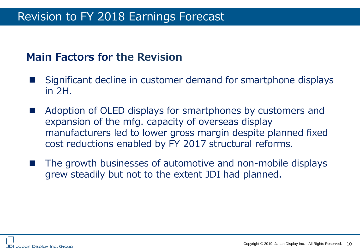### Revision to FY 2018 Earnings Forecast

### **Main Factors for the Revision**

- Significant decline in customer demand for smartphone displays in 2H.
- Adoption of OLED displays for smartphones by customers and expansion of the mfg. capacity of overseas display manufacturers led to lower gross margin despite planned fixed cost reductions enabled by FY 2017 structural reforms.
- The growth businesses of automotive and non-mobile displays grew steadily but not to the extent JDI had planned.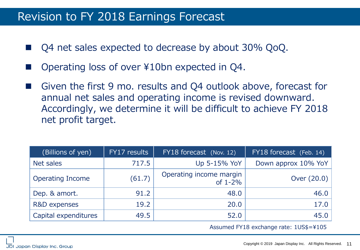### Revision to FY 2018 Earnings Forecast

- Q4 net sales expected to decrease by about 30% QoQ.
- Operating loss of over ¥10bn expected in Q4.
- Given the first 9 mo. results and Q4 outlook above, forecast for annual net sales and operating income is revised downward. Accordingly, we determine it will be difficult to achieve FY 2018 net profit target.

| (Billions of yen)       | FY17 results | FY18 forecast (Nov. 12)                 | FY18 forecast (Feb. 14) |
|-------------------------|--------------|-----------------------------------------|-------------------------|
| Net sales               | 717.5        | Up 5-15% YoY                            | Down approx 10% YoY     |
| <b>Operating Income</b> | (61.7)       | Operating income margin<br>of $1 - 2\%$ | Over $(20.0)$           |
| Dep. & amort.           | 91.2         | 48.0                                    | 46.0                    |
| R&D expenses            | 19.2         | 20.0                                    | 17.0                    |
| Capital expenditures    | 49.5         | 52.0                                    | 45.0                    |

Assumed FY18 exchange rate: 1US\$=¥105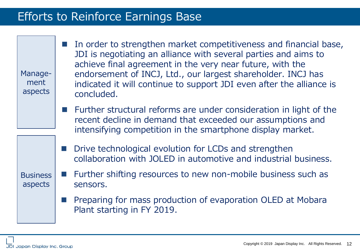### Efforts to Reinforce Earnings Base

Management aspects

 In order to strengthen market competitiveness and financial base, JDI is negotiating an alliance with several parties and aims to achieve final agreement in the very near future, with the endorsement of INCJ, Ltd., our largest shareholder. INCJ has indicated it will continue to support JDI even after the alliance is concluded.

- Further structural reforms are under consideration in light of the recent decline in demand that exceeded our assumptions and intensifying competition in the smartphone display market.
- Drive technological evolution for LCDs and strengthen collaboration with JOLED in automotive and industrial business.

### Further shifting resources to new non-mobile business such as sensors.

 Preparing for mass production of evaporation OLED at Mobara Plant starting in FY 2019.

**Business** 

aspects